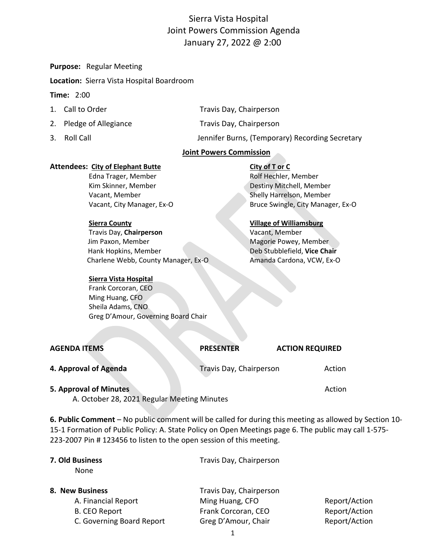# Sierra Vista Hospital Joint Powers Commission Agenda January 27, 2022 @ 2:00

**Purpose:** Regular Meeting

**Location:** Sierra Vista Hospital Boardroom

**Time:** 2:00

- 1. Call to Order Travis Day, Chairperson 2. Pledge of Allegiance Travis Day, Chairperson
- 

# 3. Roll Call Jennifer Burns, (Temporary) Recording Secretary

## **Joint Powers Commission**

#### **Attendees: City of Elephant Butte City of T or C**

Edna Trager, Member Rolf Hechler, Member Kim Skinner, Member **National Accord Contract Contract Contract Contract Contract Contract Contract Contract Contract Contract Contract Contract Contract Contract Contract Contract Contract Contract Contract Contract Contr** Vacant, Member Shelly Harrelson, Member Vacant, City Manager, Ex-O Bruce Swingle, City Manager, Ex-O

#### **Sierra County Village of Williamsburg**

Travis Day, **Chairperson** Vacant, Member Jim Paxon, Member Magorie Powey, Member Magorie Powey, Member Hank Hopkins, Member Deb Stubblefield, **Vice Chair** Charlene Webb, County Manager, Ex-O Amanda Cardona, VCW, Ex-O

#### **Sierra Vista Hospital**

 Frank Corcoran, CEO Ming Huang, CFO Sheila Adams, CNO Greg D'Amour, Governing Board Chair

| <b>AGENDA ITEMS</b>    | <b>PRESENTER</b>        | <b>ACTION REQUIRED</b> |
|------------------------|-------------------------|------------------------|
| 4. Approval of Agenda  | Travis Day, Chairperson | Action                 |
| 5. Approval of Minutes |                         | Action                 |

A. October 28, 2021 Regular Meeting Minutes

**6. Public Comment** – No public comment will be called for during this meeting as allowed by Section 10- 15-1 Formation of Public Policy: A. State Policy on Open Meetings page 6. The public may call 1-575- 223-2007 Pin # 123456 to listen to the open session of this meeting.

| 7. Old Business<br>None                           | Travis Day, Chairperson                    |                                |
|---------------------------------------------------|--------------------------------------------|--------------------------------|
| 8. New Business<br>A. Financial Report            | Travis Day, Chairperson<br>Ming Huang, CFO | Report/Action                  |
| <b>B. CEO Report</b><br>C. Governing Board Report | Frank Corcoran, CEO<br>Greg D'Amour, Chair | Report/Action<br>Report/Action |
|                                                   |                                            |                                |